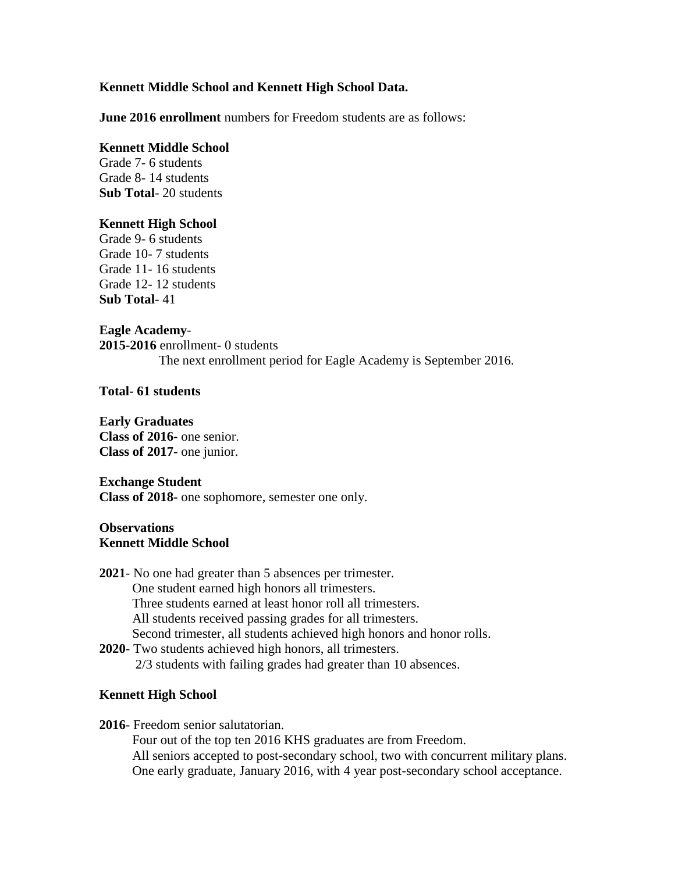# **Kennett Middle School and Kennett High School Data.**

**June 2016 enrollment** numbers for Freedom students are as follows:

### **Kennett Middle School**

Grade 7- 6 students Grade 8- 14 students **Sub Total**- 20 students

# **Kennett High School**

Grade 9- 6 students Grade 10- 7 students Grade 11- 16 students Grade 12- 12 students **Sub Total**- 41

### **Eagle Academy**-

**2015-2016** enrollment- 0 students The next enrollment period for Eagle Academy is September 2016.

### **Total- 61 students**

### **Early Graduates**

**Class of 2016-** one senior. **Class of 2017-** one junior.

#### **Exchange Student**

**Class of 2018-** one sophomore, semester one only.

# **Observations Kennett Middle School**

- **2021** No one had greater than 5 absences per trimester. One student earned high honors all trimesters. Three students earned at least honor roll all trimesters. All students received passing grades for all trimesters. Second trimester, all students achieved high honors and honor rolls. **2020**- Two students achieved high honors, all trimesters.
	- 2/3 students with failing grades had greater than 10 absences.

# **Kennett High School**

**2016**- Freedom senior salutatorian.

 Four out of the top ten 2016 KHS graduates are from Freedom. All seniors accepted to post-secondary school, two with concurrent military plans. One early graduate, January 2016, with 4 year post-secondary school acceptance.